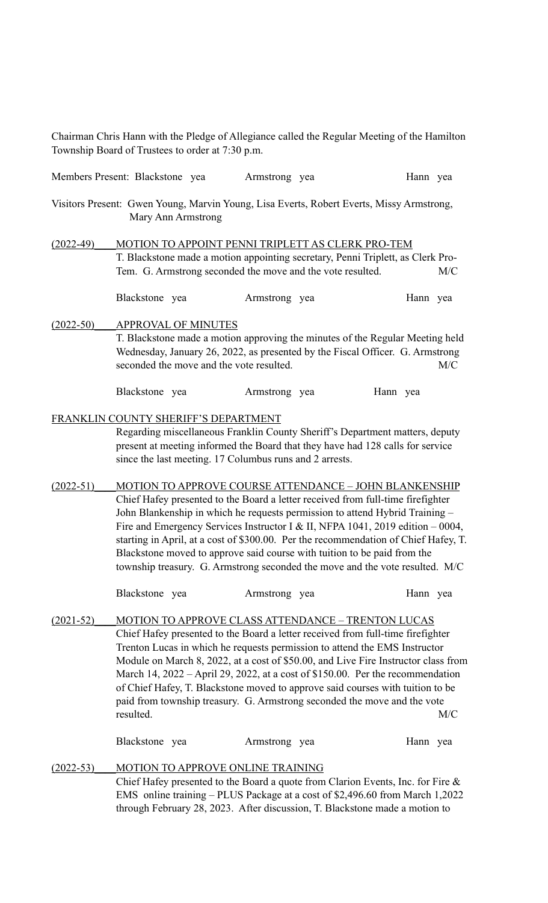Chairman Chris Hann with the Pledge of Allegiance called the Regular Meeting of the Hamilton Township Board of Trustees to order at 7:30 p.m.

|                                                       | Members Present: Blackstone yea                                                                                                                                                                                                                                                                                                                                                                                                                                                                                                                                                                                                                                                                                                                                                               | Armstrong yea                                                                                                                                                                                                                                                                                                                                                                                                                                                                                                                                                                | Hann yea        |
|-------------------------------------------------------|-----------------------------------------------------------------------------------------------------------------------------------------------------------------------------------------------------------------------------------------------------------------------------------------------------------------------------------------------------------------------------------------------------------------------------------------------------------------------------------------------------------------------------------------------------------------------------------------------------------------------------------------------------------------------------------------------------------------------------------------------------------------------------------------------|------------------------------------------------------------------------------------------------------------------------------------------------------------------------------------------------------------------------------------------------------------------------------------------------------------------------------------------------------------------------------------------------------------------------------------------------------------------------------------------------------------------------------------------------------------------------------|-----------------|
|                                                       | Mary Ann Armstrong                                                                                                                                                                                                                                                                                                                                                                                                                                                                                                                                                                                                                                                                                                                                                                            | Visitors Present: Gwen Young, Marvin Young, Lisa Everts, Robert Everts, Missy Armstrong,                                                                                                                                                                                                                                                                                                                                                                                                                                                                                     |                 |
| $(2022-49)$                                           |                                                                                                                                                                                                                                                                                                                                                                                                                                                                                                                                                                                                                                                                                                                                                                                               | MOTION TO APPOINT PENNI TRIPLETT AS CLERK PRO-TEM<br>T. Blackstone made a motion appointing secretary, Penni Triplett, as Clerk Pro-<br>Tem. G. Armstrong seconded the move and the vote resulted.                                                                                                                                                                                                                                                                                                                                                                           | M/C             |
|                                                       | Blackstone yea                                                                                                                                                                                                                                                                                                                                                                                                                                                                                                                                                                                                                                                                                                                                                                                | Armstrong yea                                                                                                                                                                                                                                                                                                                                                                                                                                                                                                                                                                | Hann yea        |
| $(2022 - 50)$                                         | <b>APPROVAL OF MINUTES</b><br>seconded the move and the vote resulted.                                                                                                                                                                                                                                                                                                                                                                                                                                                                                                                                                                                                                                                                                                                        | T. Blackstone made a motion approving the minutes of the Regular Meeting held<br>Wednesday, January 26, 2022, as presented by the Fiscal Officer. G. Armstrong                                                                                                                                                                                                                                                                                                                                                                                                               | M/C             |
|                                                       | Blackstone yea                                                                                                                                                                                                                                                                                                                                                                                                                                                                                                                                                                                                                                                                                                                                                                                | Armstrong yea                                                                                                                                                                                                                                                                                                                                                                                                                                                                                                                                                                | Hann yea        |
| FRANKLIN COUNTY SHERIFF'S DEPARTMENT<br>$(2022 - 51)$ | Regarding miscellaneous Franklin County Sheriff's Department matters, deputy<br>present at meeting informed the Board that they have had 128 calls for service<br>since the last meeting. 17 Columbus runs and 2 arrests.<br>MOTION TO APPROVE COURSE ATTENDANCE - JOHN BLANKENSHIP<br>Chief Hafey presented to the Board a letter received from full-time firefighter<br>John Blankenship in which he requests permission to attend Hybrid Training -<br>Fire and Emergency Services Instructor I & II, NFPA 1041, 2019 edition $-0004$ ,<br>starting in April, at a cost of \$300.00. Per the recommendation of Chief Hafey, T.<br>Blackstone moved to approve said course with tuition to be paid from the<br>township treasury. G. Armstrong seconded the move and the vote resulted. M/C |                                                                                                                                                                                                                                                                                                                                                                                                                                                                                                                                                                              |                 |
|                                                       | Blackstone yea                                                                                                                                                                                                                                                                                                                                                                                                                                                                                                                                                                                                                                                                                                                                                                                | Armstrong yea                                                                                                                                                                                                                                                                                                                                                                                                                                                                                                                                                                | Hann yea        |
| $(2021-52)$                                           | resulted.<br>Blackstone yea                                                                                                                                                                                                                                                                                                                                                                                                                                                                                                                                                                                                                                                                                                                                                                   | MOTION TO APPROVE CLASS ATTENDANCE - TRENTON LUCAS<br>Chief Hafey presented to the Board a letter received from full-time firefighter<br>Trenton Lucas in which he requests permission to attend the EMS Instructor<br>Module on March 8, 2022, at a cost of \$50.00, and Live Fire Instructor class from<br>March 14, 2022 – April 29, 2022, at a cost of $$150.00$ . Per the recommendation<br>of Chief Hafey, T. Blackstone moved to approve said courses with tuition to be<br>paid from township treasury. G. Armstrong seconded the move and the vote<br>Armstrong yea | M/C<br>Hann yea |
| $(2022 - 53)$                                         | MOTION TO APPROVE ONLINE TRAINING                                                                                                                                                                                                                                                                                                                                                                                                                                                                                                                                                                                                                                                                                                                                                             |                                                                                                                                                                                                                                                                                                                                                                                                                                                                                                                                                                              |                 |

Chief Hafey presented to the Board a quote from Clarion Events, Inc. for Fire & EMS online training – PLUS Package at a cost of \$2,496.60 from March 1,2022 through February 28, 2023. After discussion, T. Blackstone made a motion to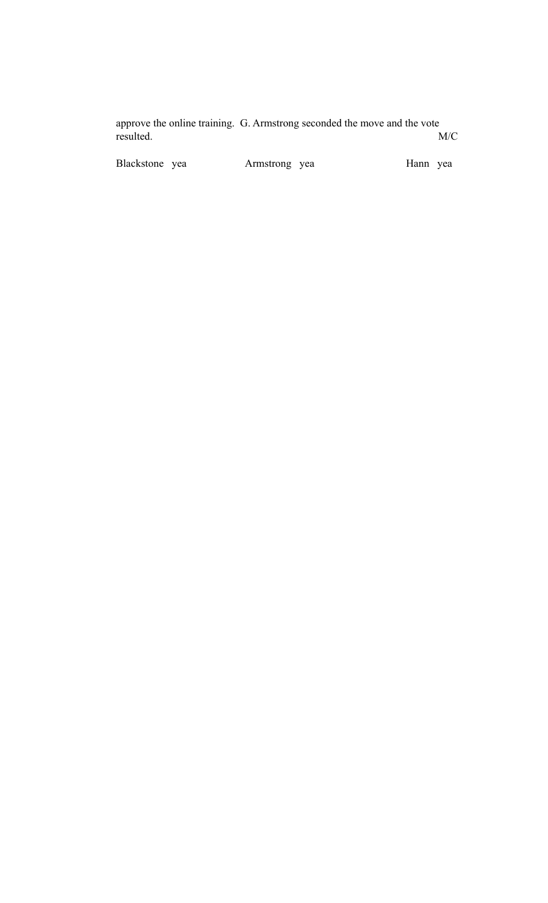approve the online training. G. Armstrong seconded the move and the vote resulted. M/C

Blackstone yea Armstrong yea Hann yea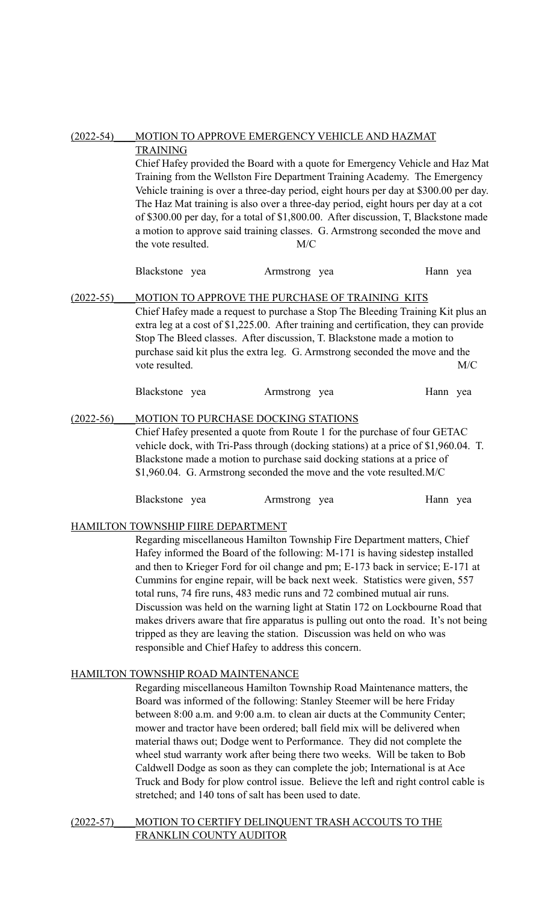| $(2022 - 54)$ | MOTION TO APPROVE EMERGENCY VEHICLE AND HAZMAT                                                                                                                           |                                     |               |                                                                                       |          |     |
|---------------|--------------------------------------------------------------------------------------------------------------------------------------------------------------------------|-------------------------------------|---------------|---------------------------------------------------------------------------------------|----------|-----|
|               | <b>TRAINING</b>                                                                                                                                                          |                                     |               |                                                                                       |          |     |
|               | Chief Hafey provided the Board with a quote for Emergency Vehicle and Haz Mat                                                                                            |                                     |               |                                                                                       |          |     |
|               |                                                                                                                                                                          |                                     |               | Training from the Wellston Fire Department Training Academy. The Emergency            |          |     |
|               |                                                                                                                                                                          |                                     |               | Vehicle training is over a three-day period, eight hours per day at \$300.00 per day. |          |     |
|               |                                                                                                                                                                          |                                     |               | The Haz Mat training is also over a three-day period, eight hours per day at a cot    |          |     |
|               |                                                                                                                                                                          |                                     |               | of \$300.00 per day, for a total of \$1,800.00. After discussion, T, Blackstone made  |          |     |
|               |                                                                                                                                                                          |                                     |               | a motion to approve said training classes. G. Armstrong seconded the move and         |          |     |
|               | the vote resulted.                                                                                                                                                       |                                     | M/C           |                                                                                       |          |     |
|               | Blackstone yea                                                                                                                                                           |                                     | Armstrong yea |                                                                                       | Hann yea |     |
| $(2022 - 55)$ | MOTION TO APPROVE THE PURCHASE OF TRAINING KITS                                                                                                                          |                                     |               |                                                                                       |          |     |
|               | Chief Hafey made a request to purchase a Stop The Bleeding Training Kit plus an<br>extra leg at a cost of \$1,225.00. After training and certification, they can provide |                                     |               |                                                                                       |          |     |
|               |                                                                                                                                                                          |                                     |               | Stop The Bleed classes. After discussion, T. Blackstone made a motion to              |          |     |
|               |                                                                                                                                                                          |                                     |               | purchase said kit plus the extra leg. G. Armstrong seconded the move and the          |          |     |
|               | vote resulted.                                                                                                                                                           |                                     |               |                                                                                       |          | M/C |
|               |                                                                                                                                                                          |                                     |               |                                                                                       |          |     |
|               | Blackstone yea                                                                                                                                                           |                                     | Armstrong yea |                                                                                       | Hann yea |     |
| $(2022 - 56)$ |                                                                                                                                                                          | MOTION TO PURCHASE DOCKING STATIONS |               |                                                                                       |          |     |
|               | Chief Hafey presented a quote from Route 1 for the purchase of four GETAC                                                                                                |                                     |               |                                                                                       |          |     |

Chief Hafey presented a quote from Route 1 for the purchase of four GETAC vehicle dock, with Tri-Pass through (docking stations) at a price of \$1,960.04. T. Blackstone made a motion to purchase said docking stations at a price of \$1,960.04. G. Armstrong seconded the move and the vote resulted.M/C

| Blackstone yea<br>Armstrong yea |  | Hann yea |  |
|---------------------------------|--|----------|--|
|---------------------------------|--|----------|--|

# HAMILTON TOWNSHIP FIIRE DEPARTMENT

Regarding miscellaneous Hamilton Township Fire Department matters, Chief Hafey informed the Board of the following: M-171 is having sidestep installed and then to Krieger Ford for oil change and pm; E-173 back in service; E-171 at Cummins for engine repair, will be back next week. Statistics were given, 557 total runs, 74 fire runs, 483 medic runs and 72 combined mutual air runs. Discussion was held on the warning light at Statin 172 on Lockbourne Road that makes drivers aware that fire apparatus is pulling out onto the road. It's not being tripped as they are leaving the station. Discussion was held on who was responsible and Chief Hafey to address this concern.

# HAMILTON TOWNSHIP ROAD MAINTENANCE

Regarding miscellaneous Hamilton Township Road Maintenance matters, the Board was informed of the following: Stanley Steemer will be here Friday between 8:00 a.m. and 9:00 a.m. to clean air ducts at the Community Center; mower and tractor have been ordered; ball field mix will be delivered when material thaws out; Dodge went to Performance. They did not complete the wheel stud warranty work after being there two weeks. Will be taken to Bob Caldwell Dodge as soon as they can complete the job; International is at Ace Truck and Body for plow control issue. Believe the left and right control cable is stretched; and 140 tons of salt has been used to date.

### (2022-57)\_\_\_\_MOTION TO CERTIFY DELINQUENT TRASH ACCOUTS TO THE FRANKLIN COUNTY AUDITOR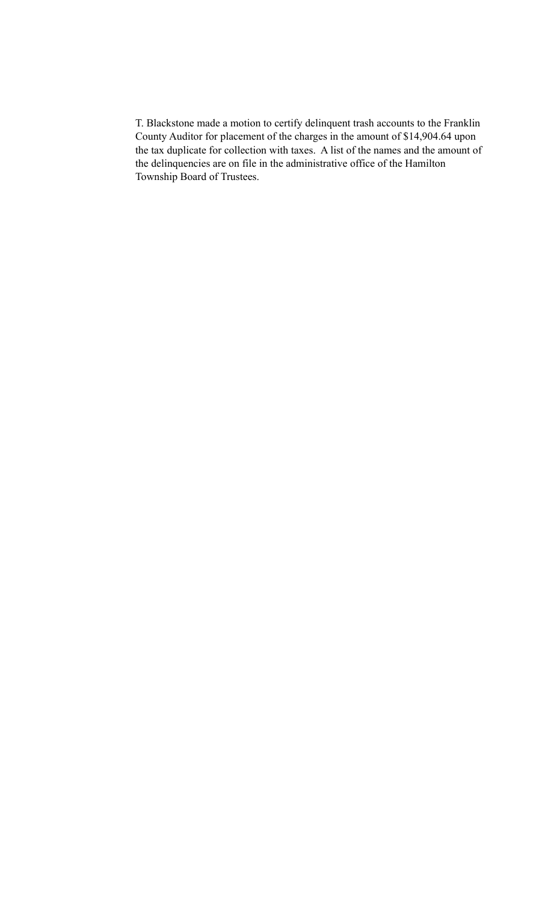T. Blackstone made a motion to certify delinquent trash accounts to the Franklin County Auditor for placement of the charges in the amount of \$14,904.64 upon the tax duplicate for collection with taxes. A list of the names and the amount of the delinquencies are on file in the administrative office of the Hamilton Township Board of Trustees.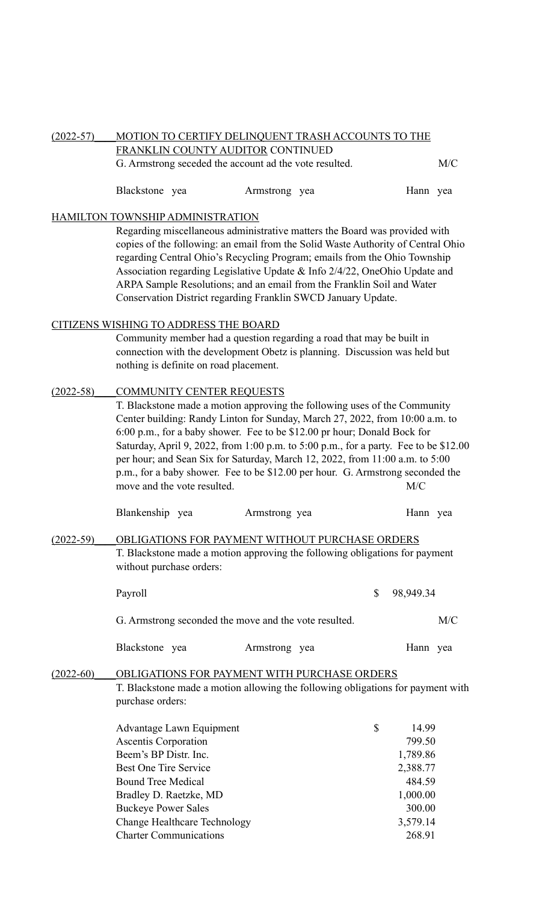### (2022-57)\_\_\_\_MOTION TO CERTIFY DELINQUENT TRASH ACCOUNTS TO THE FRANKLIN COUNTY AUDITOR CONTINUED

G. Armstrong seceded the account ad the vote resulted. M/C

| Blackstone yea |  | Armstrong yea |  | Hann yea |  |
|----------------|--|---------------|--|----------|--|
|----------------|--|---------------|--|----------|--|

### HAMILTON TOWNSHIP ADMINISTRATION

Regarding miscellaneous administrative matters the Board was provided with copies of the following: an email from the Solid Waste Authority of Central Ohio regarding Central Ohio's Recycling Program; emails from the Ohio Township Association regarding Legislative Update & Info 2/4/22, OneOhio Update and ARPA Sample Resolutions; and an email from the Franklin Soil and Water Conservation District regarding Franklin SWCD January Update.

### CITIZENS WISHING TO ADDRESS THE BOARD

 Community member had a question regarding a road that may be built in connection with the development Obetz is planning. Discussion was held but nothing is definite on road placement.

# (2022-58) COMMUNITY CENTER REQUESTS

T. Blackstone made a motion approving the following uses of the Community Center building: Randy Linton for Sunday, March 27, 2022, from 10:00 a.m. to 6:00 p.m., for a baby shower. Fee to be \$12.00 pr hour; Donald Bock for Saturday, April 9, 2022, from 1:00 p.m. to 5:00 p.m., for a party. Fee to be \$12.00 per hour; and Sean Six for Saturday, March 12, 2022, from 11:00 a.m. to 5:00 p.m., for a baby shower. Fee to be \$12.00 per hour. G. Armstrong seconded the move and the vote resulted. M/C

|               | Blankenship yea          | Armstrong yea                                                                                                                  | Hann yea  |
|---------------|--------------------------|--------------------------------------------------------------------------------------------------------------------------------|-----------|
| $(2022 - 59)$ | without purchase orders: | OBLIGATIONS FOR PAYMENT WITHOUT PURCHASE ORDERS<br>T. Blackstone made a motion approving the following obligations for payment |           |
|               | Payroll                  |                                                                                                                                | 98,949.34 |

G. Armstrong seconded the move and the vote resulted. M/C

| Blackstone yea |  | Armstrong yea |  | Hann yea |  |
|----------------|--|---------------|--|----------|--|
|----------------|--|---------------|--|----------|--|

#### (2022-60) OBLIGATIONS FOR PAYMENT WITH PURCHASE ORDERS T. Blackstone made a motion allowing the following obligations for payment with

purchase orders:

| <b>Advantage Lawn Equipment</b>     | \$<br>14.99 |
|-------------------------------------|-------------|
| <b>Ascentis Corporation</b>         | 799.50      |
| Beem's BP Distr. Inc.               | 1,789.86    |
| <b>Best One Tire Service</b>        | 2,388.77    |
| <b>Bound Tree Medical</b>           | 484.59      |
| Bradley D. Raetzke, MD              | 1,000.00    |
| <b>Buckeye Power Sales</b>          | 300.00      |
| <b>Change Healthcare Technology</b> | 3,579.14    |
| <b>Charter Communications</b>       | 268.91      |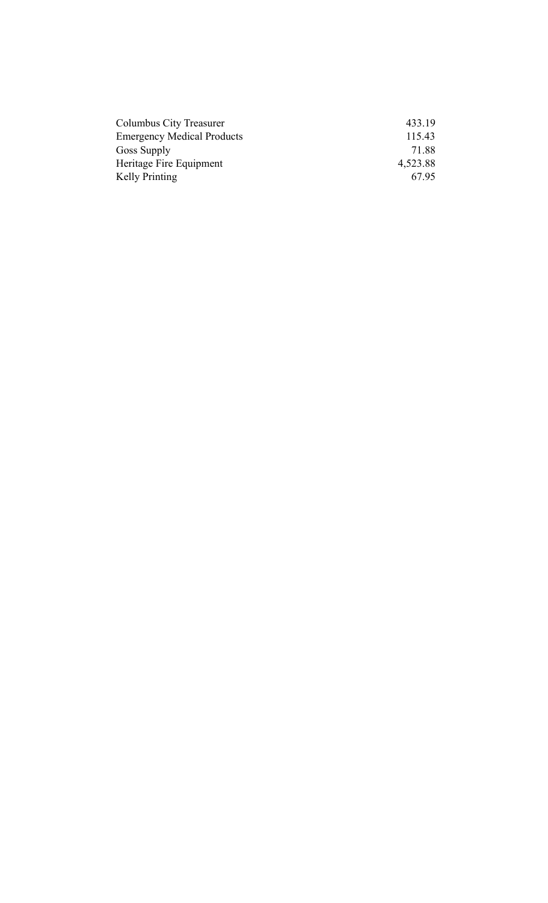| Columbus City Treasurer           | 433.19   |
|-----------------------------------|----------|
| <b>Emergency Medical Products</b> | 115.43   |
| Goss Supply                       | 71.88    |
| Heritage Fire Equipment           | 4,523.88 |
| Kelly Printing                    | 6795     |